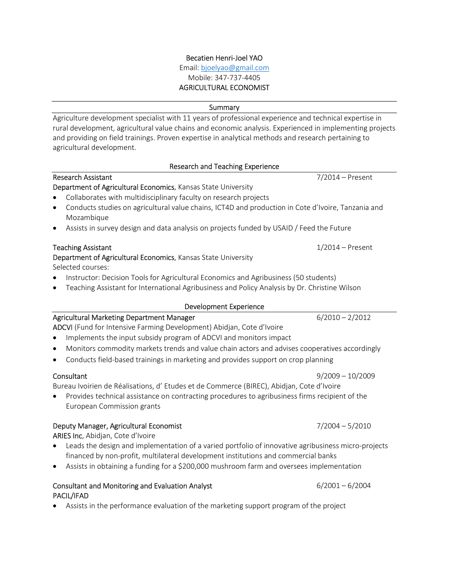# Becatien Henri-Joel YAO

Email: bjoelyao@gmail.com Mobile: 347-737-4405 AGRICULTURAL ECONOMIST

**Summary** 

Agriculture development specialist with 11 years of professional experience and technical expertise in rural development, agricultural value chains and economic analysis. Experienced in implementing projects and providing on field trainings. Proven expertise in analytical methods and research pertaining to agricultural development.

### Research and Teaching Experience

|                                                               | Research Assistant                                                                                   | 7/2014 – Present |  |
|---------------------------------------------------------------|------------------------------------------------------------------------------------------------------|------------------|--|
| Department of Agricultural Economics, Kansas State University |                                                                                                      |                  |  |
|                                                               | • Collaborates with multidisciplinary faculty on research projects                                   |                  |  |
|                                                               | • Conducts studies on agricultural value chains, ICT4D and production in Cote d'Ivoire, Tanzania and |                  |  |

- Mozambique
- Assists in survey design and data analysis on projects funded by USAID / Feed the Future

### Teaching Assistant 1/2014 – Present

# Department of Agricultural Economics, Kansas State University

Selected courses:

- Instructor: Decision Tools for Agricultural Economics and Agribusiness (50 students)
- Teaching Assistant for International Agribusiness and Policy Analysis by Dr. Christine Wilson

# Development Experience

#### Agricultural Marketing Department Manager 6/2010 – 2/2012 ADCVI (Fund for Intensive Farming Development) Abidjan, Cote d'Ivoire

- Implements the input subsidy program of ADCVI and monitors impact
- Monitors commodity markets trends and value chain actors and advises cooperatives accordingly
- Conducts field-based trainings in marketing and provides support on crop planning

Bureau Ivoirien de Réalisations, d' Etudes et de Commerce (BIREC), Abidjan, Cote d'Ivoire

 Provides technical assistance on contracting procedures to agribusiness firms recipient of the European Commission grants

# Deputy Manager, Agricultural Economist 7/2004 – 5/2010

ARIES Inc, Abidjan, Cote d'Ivoire

- Leads the design and implementation of a varied portfolio of innovative agribusiness micro-projects financed by non-profit, multilateral development institutions and commercial banks
- Assists in obtaining a funding for a \$200,000 mushroom farm and oversees implementation

# Consultant and Monitoring and Evaluation Analyst  $6/2001 - 6/2004$ PACIL/IFAD

Assists in the performance evaluation of the marketing support program of the project

Consultant 9/2009 – 10/2009